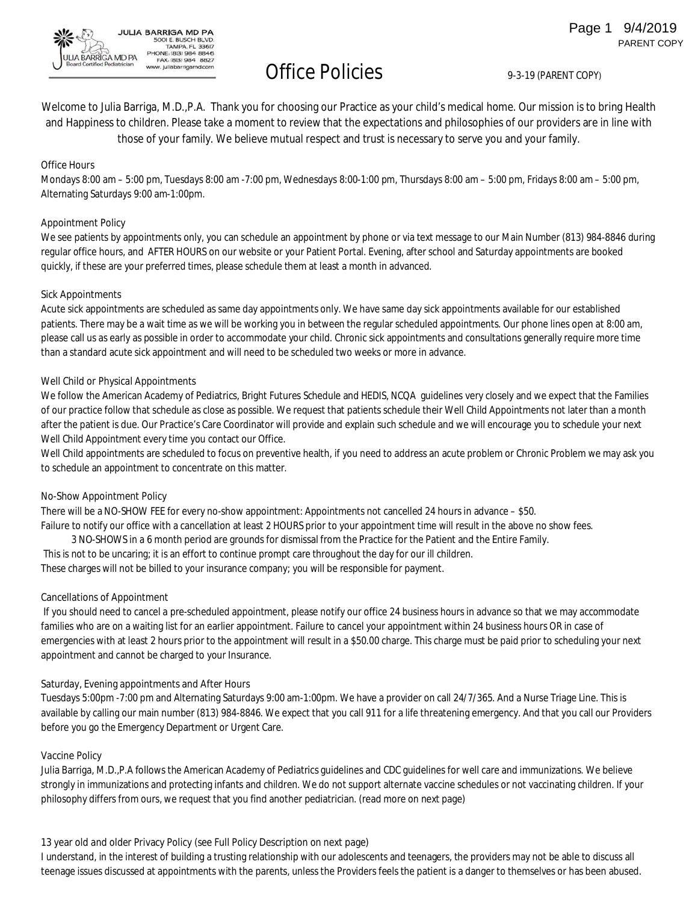Office Policies 9-3-19 (PARENT COPY)

Welcome to Julia Barriga, M.D.,P.A. Thank you for choosing our Practice as your child's medical home. Our mission is to bring Health and Happiness to children. Please take a moment to review that the expectations and philosophies of our providers are in line with those of your family. We believe mutual respect and trust is necessary to serve you and your family.

#### **Office Hours**

Mondays 8:00 am – 5:00 pm, Tuesdays 8:00 am -7:00 pm, Wednesdays 8:00-1:00 pm, Thursdays 8:00 am – 5:00 pm, Fridays 8:00 am – 5:00 pm, Alternating Saturdays 9:00 am-1:00pm.

#### **Appointment Policy**

**A BARRIGA MD PA** 

We see patients by appointments only, you can schedule an appointment by phone or via text message to our Main Number (813) 984-8846 during regular office hours, and AFTER HOURS on our website or your Patient Portal. Evening, after school and Saturday appointments are booked quickly, if these are your preferred times, please schedule them at least a month in advanced.

#### **Sick Appointments**

Acute sick appointments are scheduled as same day appointments only. We have same day sick appointments available for our established patients. There may be a wait time as we will be working you in between the regular scheduled appointments. Our phone lines open at 8:00 am, please call us as early as possible in order to accommodate your child. Chronic sick appointments and consultations generally require more time than a standard acute sick appointment and will need to be scheduled two weeks or more in advance.

#### **Well Child or Physical Appointments**

JULIA BARRIGA MD PA 500I E. BUSCH BLVD.<br>TAMPA. FL 33617 PHONE: (813) 984 8846<br>FAX: (813) 984 8827

w. juliabarrigamd.com

We follow the American Academy of Pediatrics, Bright Futures Schedule and HEDIS, NCQA guidelines very closely and we expect that the Families of our practice follow that schedule as close as possible. We request that patients schedule their Well Child Appointments not later than a month after the patient is due. Our Practice's Care Coordinator will provide and explain such schedule and we will encourage you to schedule your next Well Child Appointment every time you contact our Office.

Well Child appointments are scheduled to focus on preventive health, if you need to address an acute problem or Chronic Problem we may ask you to schedule an appointment to concentrate on this matter.

#### **No-Show Appointment Policy**

There will be a NO-SHOW FEE for every no-show appointment: Appointments not cancelled 24 hours in advance – \$50. Failure to notify our office with a cancellation at least 2 HOURS prior to your appointment time will result in the above no show fees. 3 NO-SHOWS in a 6 month period are grounds for dismissal from the Practice for the Patient and the Entire Family. This is not to be uncaring; it is an effort to continue prompt care throughout the day for our ill children.

These charges will not be billed to your insurance company; you will be responsible for payment.

#### **Cancellations of Appointment**

If you should need to cancel a pre-scheduled appointment, please notify our office 24 business hours in advance so that we may accommodate families who are on a waiting list for an earlier appointment. Failure to cancel your appointment within 24 business hours OR in case of emergencies with at least 2 hours prior to the appointment will result in a \$50.00 charge. This charge must be paid prior to scheduling your next appointment and cannot be charged to your Insurance.

#### **Saturday, Evening appointments and After Hours**

Tuesdays 5:00pm -7:00 pm and Alternating Saturdays 9:00 am-1:00pm. We have a provider on call 24/7/365. And a Nurse Triage Line. This is available by calling our main number (813) 984-8846. We expect that you call 911 for a life threatening emergency. And that you call our Providers before you go the Emergency Department or Urgent Care.

#### **Vaccine Policy**

Julia Barriga, M.D.,P.A follows the American Academy of Pediatrics guidelines and CDC guidelines for well care and immunizations. We believe strongly in immunizations and protecting infants and children. We do not support alternate vaccine schedules or not vaccinating children. If your philosophy differs from ours, we request that you find another pediatrician. (read more on next page)

#### **13 year old and older Privacy Policy (see Full Policy Description on next page)**

I understand, in the interest of building a trusting relationship with our adolescents and teenagers, the providers may not be able to discuss all teenage issues discussed at appointments with the parents, unless the Providers feels the patient is a danger to themselves or has been abused.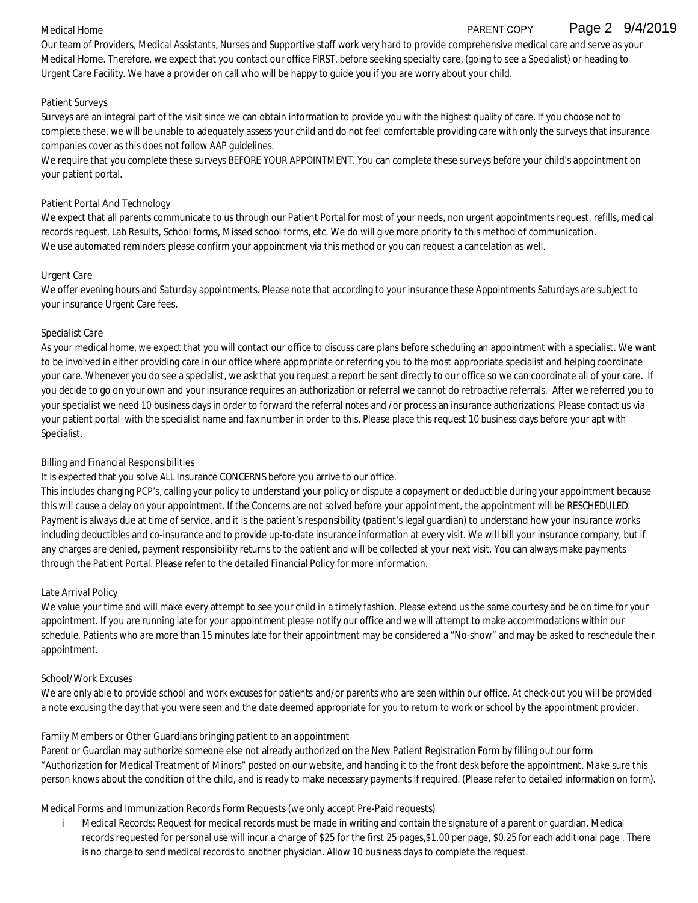#### **Medical Home**

#### Page 2 9/4/2019 PARENT COPY

Our team of Providers, Medical Assistants, Nurses and Supportive staff work very hard to provide comprehensive medical care and serve as your **Medical Home**. Therefore, we expect that you contact our office FIRST, before seeking specialty care, (going to see a Specialist) or heading to Urgent Care Facility. We have a provider on call who will be happy to guide you if you are worry about your child.

#### **Patient Surveys**

Surveys are an integral part of the visit since we can obtain information to provide you with the highest quality of care. If you choose not to complete these, we will be unable to adequately assess your child and do not feel comfortable providing care with only the surveys that insurance companies cover as this does not follow AAP guidelines.

We require that you complete these surveys BEFORE YOUR APPOINTMENT. You can complete these surveys before your child's appointment on your patient portal.

#### **Patient Portal And Technology**

We expect that all parents communicate to us through our Patient Portal for most of your needs, non urgent appointments request, refills, medical records request, Lab Results, School forms, Missed school forms, etc. We do will give more priority to this method of communication. We use automated reminders please confirm your appointment via this method or you can request a cancelation as well.

#### **Urgent Care**

We offer evening hours and Saturday appointments. Please note that according to your insurance these Appointments Saturdays are subject to your insurance Urgent Care fees.

#### **Specialist Care**

As your medical home, we expect that you will contact our office to discuss care plans before scheduling an appointment with a specialist. We want to be involved in either providing care in our office where appropriate or referring you to the most appropriate specialist and helping coordinate your care. Whenever you do see a specialist, we ask that you request a report be sent directly to our office so we can coordinate all of your care. If you decide to go on your own and your insurance requires an authorization or referral we cannot do retroactive referrals. After we referred you to your specialist we need 10 business days in order to forward the referral notes and /or process an insurance authorizations. Please contact us via your patient portal with the specialist name and fax number in order to this. Please place this request 10 business days before your apt with Specialist.

#### **Billing and Financial Responsibilities**

It is expected that you solve ALL Insurance CONCERNS before you arrive to our office.

This includes changing PCP's, calling your policy to understand your policy or dispute a copayment or deductible during your appointment because this will cause a delay on your appointment. If the Concerns are not solved before your appointment, the appointment will be RESCHEDULED. Payment is always due at time of service, and it is the patient's responsibility (patient's legal guardian) to understand how your insurance works including deductibles and co-insurance and to provide up-to-date insurance information at every visit. We will bill your insurance company, but if any charges are denied, payment responsibility returns to the patient and will be collected at your next visit. You can always make payments through the Patient Portal. Please refer to the detailed Financial Policy for more information.

#### **Late Arrival Policy**

We value your time and will make every attempt to see your child in a timely fashion. Please extend us the same courtesy and be on time for your appointment. If you are running late for your appointment please notify our office and we will attempt to make accommodations within our schedule. Patients who are more than 15 minutes late for their appointment may be considered a "No-show" and may be asked to reschedule their appointment.

#### **School/Work Excuses**

We are only able to provide school and work excuses for patients and/or parents who are seen within our office. At check-out you will be provided a note excusing the day that you were seen and the date deemed appropriate for you to return to work or school by the appointment provider.

#### **Family Members or Other Guardians bringing patient to an appointment**

Parent or Guardian may authorize someone else not already authorized on the New Patient Registration Form by filling out our form "Authorization for Medical Treatment of Minors" posted on our website, and handing it to the front desk before the appointment. Make sure this person knows about the condition of the child, and is ready to make necessary payments if required. (Please refer to detailed information on form).

**Medical Forms and Immunization Records Form Requests (we only accept Pre-Paid requests)**

i. **Medical Records:** Request for medical records must be made in writing and contain the signature of a parent or guardian. Medical records requested for personal use will incur a charge of \$25 for the first 25 pages,\$1.00 per page, \$0.25 for each additional page . There is no charge to send medical records to another physician. Allow 10 business days to complete the request.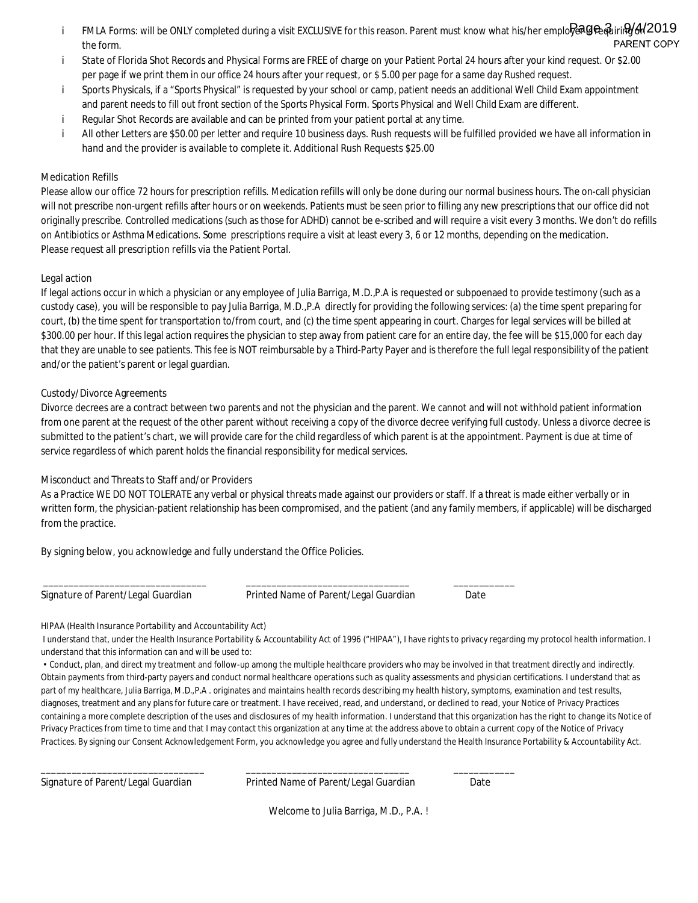- <code>FMLA</code> Forms: will be ONLY completed during a visit EXCLUSIVE for this reason. Parent must know what his/her emplo $R$ ag $\bf e$  $\bf \hat{q}$ iri $\bf \Theta/4$ /2019 i PARENT COPY the form.
- **State of Florida Shot Records and Physical Forms** are FREE of charge on your Patient Portal 24 hours after your kind request. Or \$2.00 j. per page if we print them in our office 24 hours after your request, or \$ 5.00 per page for a same day Rushed request.
- Sports Physicals, if a "Sports Physical" is requested by your school or camp, patient needs an additional Well Child Exam appointment i. and parent needs to fill out front section of the Sports Physical Form. Sports Physical and Well Child Exam are different.
- İ **Regular Shot Records** are available and can be printed from your patient portal at any time.
- All other Letters are \$50.00 per letter and require 10 business days. Rush requests will be fulfilled provided we have all information in i **hand and the provider is available to complete it. Additional Rush Requests \$25.00**

#### **Medication Refills**

Please allow our office 72 hours for prescription refills. Medication refills will only be done during our normal business hours. The on-call physician will not prescribe non-urgent refills after hours or on weekends. Patients must be seen prior to filling any new prescriptions that our office did not originally prescribe. Controlled medications (such as those for ADHD) cannot be e-scribed and will require a visit every 3 months. We don't do refills on Antibiotics or Asthma Medications. Some prescriptions require a visit at least every 3, 6 or 12 months, depending on the medication. **Please request all prescription refills via the Patient Portal.**

#### **Legal action**

If legal actions occur in which a physician or any employee of Julia Barriga, M.D.,P.A is requested or subpoenaed to provide testimony (such as a custody case), you will be responsible to pay Julia Barriga, M.D.,P.A directly for providing the following services: (a) the time spent preparing for court, (b) the time spent for transportation to/from court, and (c) the time spent appearing in court. Charges for legal services will be billed at \$300.00 per hour. If this legal action requires the physician to step away from patient care for an entire day, the fee will be \$15,000 for each day that they are unable to see patients. This fee is NOT reimbursable by a Third-Party Payer and is therefore the full legal responsibility of the patient and/or the patient's parent or legal guardian.

#### **Custody/Divorce Agreements**

Divorce decrees are a contract between two parents and not the physician and the parent. We cannot and will not withhold patient information from one parent at the request of the other parent without receiving a copy of the divorce decree verifying full custody. Unless a divorce decree is submitted to the patient's chart, we will provide care for the child regardless of which parent is at the appointment. Payment is due at time of service regardless of which parent holds the financial responsibility for medical services.

#### **Misconduct and Threats to Staff and/or Providers**

As a Practice WE DO NOT TOLERATE any verbal or physical threats made against our providers or staff. If a threat is made either verbally or in written form, the physician-patient relationship has been compromised, and the patient (and any family members, if applicable) will be discharged from the practice.

**By signing below, you acknowledge and fully understand the Office Policies.**

**Signature of Parent/Legal Guardian Printed Name of Parent/Legal Guardian Date**

**\_\_\_\_\_\_\_\_\_\_\_\_\_\_\_\_\_\_\_\_\_\_\_\_\_\_\_\_\_\_\_\_ \_\_\_\_\_\_\_\_\_\_\_\_\_\_\_\_\_\_\_\_\_\_\_\_\_\_\_\_\_\_\_\_ \_\_\_\_\_\_\_\_\_\_\_\_**

#### **HIPAA (Health Insurance Portability and Accountability Act)**

I understand that, under the Health Insurance Portability & Accountability Act of 1996 ("HIPAA"), I have rights to privacy regarding my protocol health information. I understand that this information can and will be used to:

• Conduct, plan, and direct my treatment and follow-up among the multiple healthcare providers who may be involved in that treatment directly and indirectly. Obtain payments from third-party payers and conduct normal healthcare operations such as quality assessments and physician certifications. I understand that as part of my healthcare, Julia Barriga, M.D.,P.A . originates and maintains health records describing my health history, symptoms, examination and test results, diagnoses, treatment and any plans for future care or treatment. I have received, read, and understand, or declined to read, your Notice of Privacy Practices containing a more complete description of the uses and disclosures of my health information. I understand that this organization has the right to change its Notice of Privacy Practices from time to time and that I may contact this organization at any time at the address above to obtain a current copy of the Notice of Privacy Practices. By signing our Consent Acknowledgement Form, you acknowledge you agree and fully understand the Health Insurance Portability & Accountability Act.

**Signature of Parent/Legal Guardian Printed Name of Parent/Legal Guardian Date**

\_\_\_\_\_\_\_\_\_\_\_\_\_\_\_\_\_\_\_\_\_\_\_\_\_\_\_\_\_\_\_\_ \_\_\_\_\_\_\_\_\_\_\_\_\_\_\_\_\_\_\_\_\_\_\_\_\_\_\_\_\_\_\_\_ \_\_\_\_\_\_\_\_\_\_\_\_

**Welcome to Julia Barriga, M.D., P.A. !**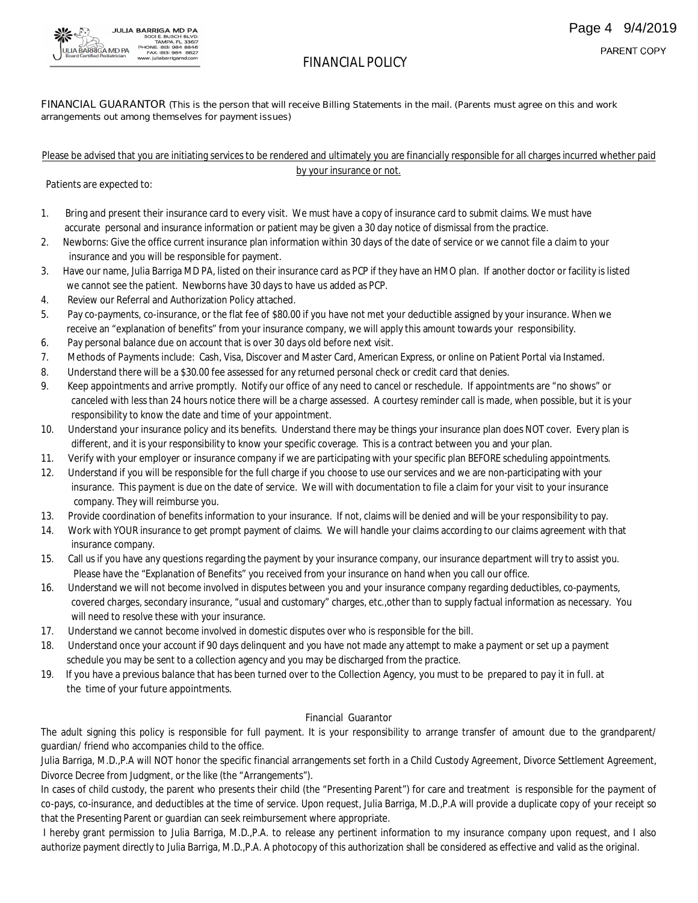

#### FINANCIAL GUARANTOR (This is the person that will receive Billing Statements in the mail. (Parents must agree on this and work **arrangements out among themselves for payment issues)**

#### Please be advised that you are initiating services to be rendered and ultimately you are financially responsible for all charges incurred whether paid by your insurance or not.

 **Patients are expected to:**

- 1. **Bring and present their insurance card to every visit.** We must have a copy of insurance card to submit claims. We must have accurate personal and insurance information or patient may be given a 30 day notice of dismissal from the practice.
- 2. Newborns: Give the office current insurance plan information within 30 days of the date of service or we cannot file a claim to your insurance and you will be responsible for payment.
- 3. Have our name, Julia Barriga MD PA, listed on their insurance card as PCP if they have an HMO plan. If another doctor or facility is listed we cannot see the patient. Newborns have 30 days to have us added as PCP.
- 4. Review our Referral and Authorization Policy attached.
- 5. Pay co-payments, co-insurance, or the flat fee of \$80.00 if you have not met your deductible assigned by your insurance. When we receive an "explanation of benefits" from your insurance company, we will apply this amount towards your responsibility.
- 6. Pay personal balance due on account that is over 30 days old before next visit.
- 7. Methods of Payments include: Cash, Visa, Discover and Master Card, American Express, or online on Patient Portal via Instamed.
- 8. Understand there will be a \$30.00 fee assessed for any returned personal check or credit card that denies.
- 9. Keep appointments and arrive promptly. Notify our office of any need to cancel or reschedule. If appointments are "no shows"or canceled with less than 24 hours notice there will be a charge assessed. A courtesy reminder call is made, when possible, but it is your responsibility to know the date and time of your appointment.
- 10. Understand your insurance policy and its benefits. Understand there may be things your insurance plan does NOT cover. Every plan is different, and it is your responsibility to know your specific coverage. This is a contract between you and your plan.
- 11. **Verify with your employer or insurance company** if we are participating with your specific plan BEFORE scheduling appointments.
- 12. Understand if you will be responsible for the full charge if you choose to use our services and we are non-participating with your insurance. This payment is due on the date of service. We will with documentation to file a claim for your visit to your insurance company. They will reimburse you.
- 13. Provide coordination of benefits information to your insurance. If not, claims will be denied and will be your responsibility to pay.
- 14. Work with YOUR insurance to get prompt payment of claims. We will handle your claims according to our claims agreement with that insurance company.
- 15. Call us if you have any questions regarding the payment by your insurance company, our insurance department will try to assist you. Please have the "Explanation of Benefits" you received from your insurance on hand when you call our office.
- 16. Understand we will not become involved in disputes between you and your insurance company regarding deductibles, co-payments, covered charges, secondary insurance, "usual and customary" charges, etc.,other than to supply factual information as necessary. You will need to resolve these with your insurance.
- 17. Understand we cannot become involved in domestic disputes over who is responsible for the bill.
- 18. Understand once your account if 90 days delinquent and you have not made any attempt to make a payment or set up a payment schedule you may be sent to a collection agency and you may be discharged from the practice.
- 19. If you have a previous balance that has been turned over to the Collection Agency, you must to be prepared to pay it in full, at  **the time of your future appointments.**

#### **Financial Guarantor**

The adult signing this policy is responsible for full payment. It is your responsibility to arrange transfer of amount due to the grandparent/ guardian/ friend who accompanies child to the office.

Julia Barriga, M.D.,P.A will NOT honor the specific financial arrangements set forth in a Child Custody Agreement, Divorce Settlement Agreement, Divorce Decree from Judgment, or the like (the "Arrangements").

In cases of child custody, the parent who presents their child (the "Presenting Parent") for care and treatment is responsible for the payment of co-pays, co-insurance, and deductibles at the time of service. Upon request, Julia Barriga, M.D.,P.A will provide a duplicate copy of your receipt so that the Presenting Parent or guardian can seek reimbursement where appropriate.

I hereby grant permission to Julia Barriga, M.D.,P.A. to release any pertinent information to my insurance company upon request, and I also authorize payment directly to Julia Barriga, M.D.,P.A. A photocopy of this authorization shall be considered as effective and valid as the original.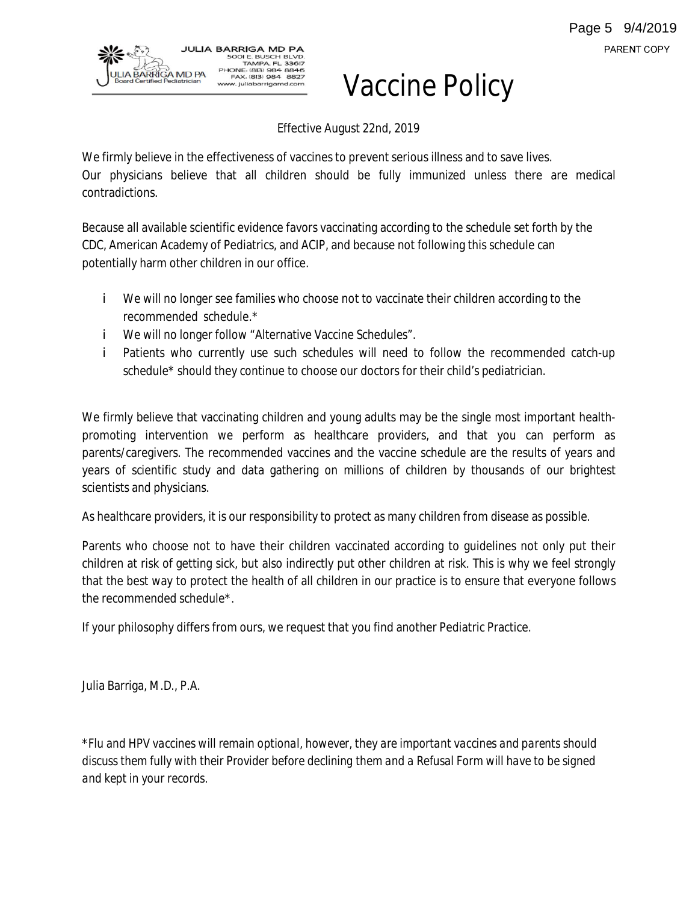

# Vaccine Policy

Effective August 22nd, 2019

We firmly believe in the effectiveness of vaccines to prevent serious illness and to save lives. Our physicians believe that all children should be fully immunized unless there are medical contradictions.

Because all available scientific evidence favors vaccinating according to the schedule set forth by the CDC, American Academy of Pediatrics, and ACIP, and because not following this schedule can potentially harm other children in our office.

- **i** We will no longer see families who choose not to vaccinate their children according to the recommended schedule.\*
- i We will no longer follow "Alternative Vaccine Schedules".
- Patients who currently use such schedules will need to follow the recommended catch-up i. schedule\* should they continue to choose our doctors for their child's pediatrician.

We firmly believe that vaccinating children and young adults may be the single most important healthpromoting intervention we perform as healthcare providers, and that you can perform as parents/caregivers. The recommended vaccines and the vaccine schedule are the results of years and years of scientific study and data gathering on millions of children by thousands of our brightest scientists and physicians.

As healthcare providers, it is our responsibility to protect as many children from disease as possible.

Parents who choose not to have their children vaccinated according to guidelines not only put their children at risk of getting sick, but also indirectly put other children at risk. This is why we feel strongly that the best way to protect the health of all children in our practice is to ensure that everyone follows the recommended schedule\*.

If your philosophy differs from ours, we request that you find another Pediatric Practice.

Julia Barriga, M.D., P.A.

*\*Flu and HPV vaccines will remain optional, however, they are important vaccines and parents should* discuss them fully with their Provider before declining them and a Refusal Form will have to be signed *and kept in your records.*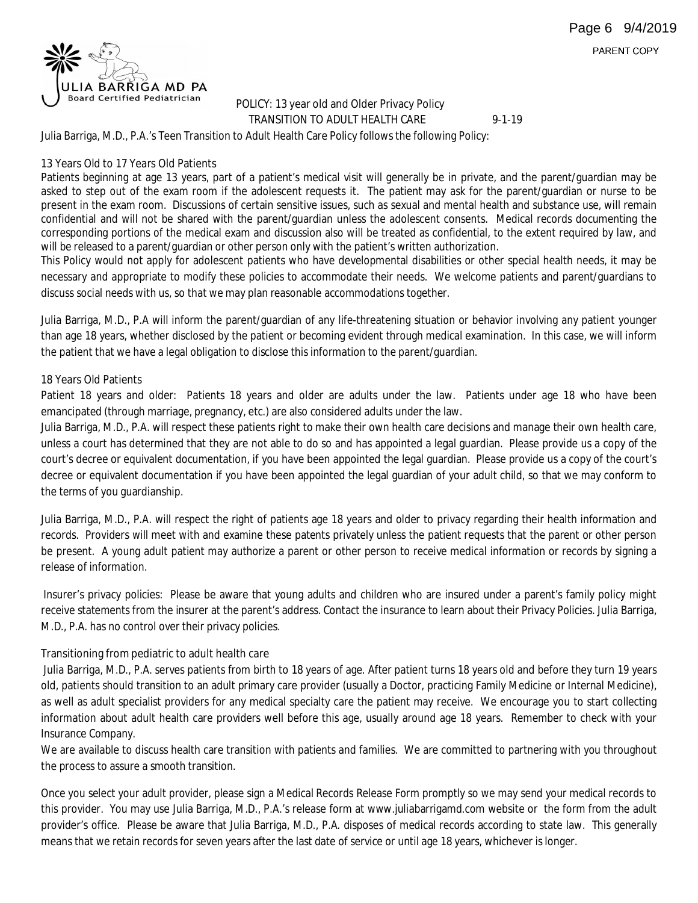PARENT COPY



#### **POLICY: 13 year old and Older Privacy Policy TRANSITION TO ADULT HEALTH CARE** 9-1-19

Julia Barriga, M.D., P.A.'s Teen Transition to Adult Health Care Policy follows the following Policy:

#### **13 Years Old to 17 Years Old Patients**

Patients beginning at age 13 years, part of a patient's medical visit will generally be in private, and the parent/guardian may be asked to step out of the exam room if the adolescent requests it. The patient may ask for the parent/guardian or nurse to be present in the exam room. Discussions of certain sensitive issues, such as sexual and mental health and substance use, will remain confidential and will not be shared with the parent/guardian unless the adolescent consents. Medical records documenting the corresponding portions of the medical exam and discussion also will be treated as confidential, to the extent required by law, and will be released to a parent/guardian or other person only with the patient's written authorization.

This Policy would not apply for adolescent patients who have developmental disabilities or other special health needs, it may be necessary and appropriate to modify these policies to accommodate their needs. We welcome patients and parent/guardians to discuss social needs with us, so that we may plan reasonable accommodations together.

Julia Barriga, M.D., P.A will inform the parent/guardian of any life-threatening situation or behavior involving any patient younger than age 18 years, whether disclosed by the patient or becoming evident through medical examination. In this case, we will inform the patient that we have a legal obligation to disclose this information to the parent/guardian.

#### **18 Years Old Patients**

Patient 18 years and older: Patients 18 years and older are adults under the law. Patients under age 18 who have been emancipated (through marriage, pregnancy, etc.) are also considered adults under the law.

Julia Barriga, M.D., P.A. will respect these patients right to make their own health care decisions and manage their own health care, unless a court has determined that they are not able to do so and has appointed a legal guardian. Please provide us a copy of the court's decree or equivalent documentation, if you have been appointed the legal guardian. Please provide us a copy of the court's decree or equivalent documentation if you have been appointed the legal guardian of your adult child, so that we may conform to the terms of you guardianship.

Julia Barriga, M.D., P.A. will respect the right of patients age 18 years and older to privacy regarding their health information and records. Providers will meet with and examine these patents privately unless the patient requests that the parent or other person be present. A young adult patient may authorize a parent or other person to receive medical information or records by signing a release of information.

Insurer's privacy policies: Please be aware that young adults and children who are insured under a parent's family policy might receive statements from the insurer at the parent's address. Contact the insurance to learn about their Privacy Policies. Julia Barriga, M.D., P.A. has no control over their privacy policies.

#### **Transitioning from pediatric to adult health care**

Julia Barriga, M.D., P.A. serves patients from birth to 18 years of age. After patient turns 18 years old and before they turn 19 years old, patients should transition to an adult primary care provider (usually a Doctor, practicing Family Medicine or Internal Medicine), as well as adult specialist providers for any medical specialty care the patient may receive. We encourage you to start collecting information about adult health care providers well before this age, usually around age 18 years. Remember to check with your Insurance Company.

We are available to discuss health care transition with patients and families. We are committed to partnering with you throughout the process to assure a smooth transition.

Once you select your adult provider, please sign a Medical Records Release Form promptly so we may send your medical records to this provider. You may use Julia Barriga, M.D., P.A.'s release form at <www.juliabarrigamd.com> website or the form from the adult provider's office. Please be aware that Julia Barriga, M.D., P.A. disposes of medical records according to state law. This generally means that we retain records for seven years after the last date of service or until age 18 years, whichever is longer.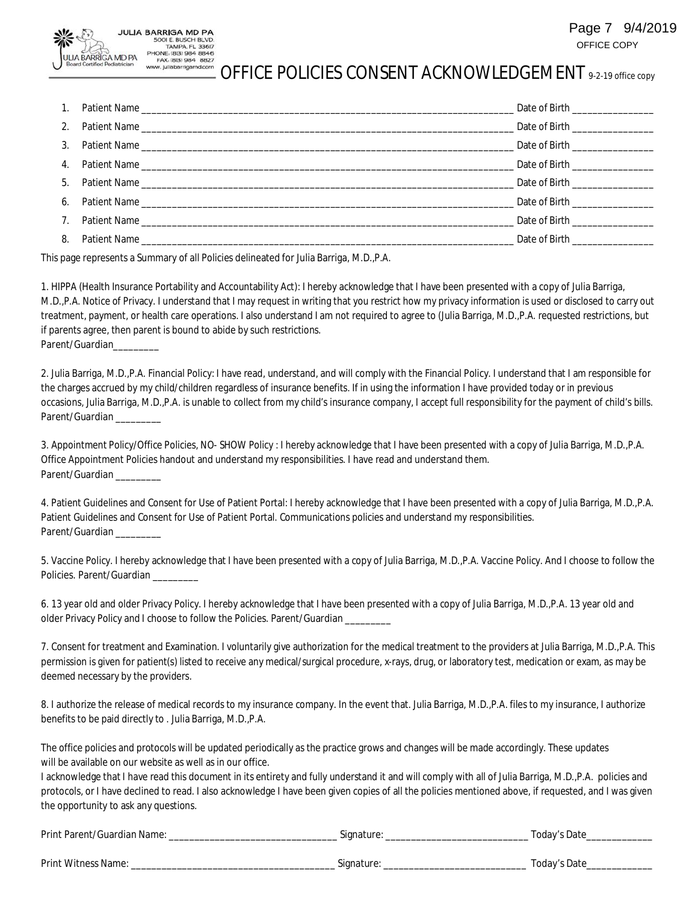#### Page 7 9/4/2019 OFFICE COPY

#### PHONE: (813) 984 8846<br>FAX: (813) 984 8827 ww. juliabarrigamd.com OFFICE POLICIES CONSENT ACKNOWLEDGEMENT 9-2-19 office copy

|  | Date of Birth __________________                                                                               |
|--|----------------------------------------------------------------------------------------------------------------|
|  | Date of Birth _______________                                                                                  |
|  | Date of Birth _________________                                                                                |
|  |                                                                                                                |
|  | Date of Birth the contract of the contract of Birth and the contract of the contract of the contract of the co |
|  |                                                                                                                |
|  | Date of Birth _________________                                                                                |
|  | Date of Birth _______________                                                                                  |

This page represents a Summary of all Policies delineated for Julia Barriga, M.D.,P.A.

JULIA BARRIGA MD PA 5001 E. BUSCH BLVD.<br>TAMPA. FL 33617

**A BARRIGA MD PA** 

1. HIPPA (Health Insurance Portability and Accountability Act): I hereby acknowledge that I have been presented with a copy of Julia Barriga, M.D.,P.A. Notice of Privacy. I understand that I may request in writing that you restrict how my privacy information is used or disclosed to carry out treatment, payment, or health care operations. I also understand I am not required to agree to (Julia Barriga, M.D.,P.A. requested restrictions, but if parents agree, then parent is bound to abide by such restrictions. **Parent/Guardian\_\_\_\_\_\_\_\_\_**

2. Julia Barriga, M.D.,P.A. Financial Policy: I have read, understand, and will comply with the Financial Policy. I understand that I am responsible for the charges accrued by my child/children regardless of insurance benefits. If in using the information I have provided today or in previous occasions, Julia Barriga, M.D.,P.A. is unable to collect from my child's insurance company, I accept full responsibility for the payment of child's bills. **Parent/Guardian \_\_\_\_\_\_\_\_\_**

3. Appointment Policy/Office Policies, NO- SHOW Policy : I hereby acknowledge that I have been presented with a copy of Julia Barriga, M.D.,P.A. Office Appointment Policies handout and understand my responsibilities. I have read and understand them. **Parent/Guardian \_\_\_\_\_\_\_\_\_**

4. Patient Guidelines and Consent for Use of Patient Portal: I hereby acknowledge that I have been presented with a copy of Julia Barriga, M.D.,P.A. Patient Guidelines and Consent for Use of Patient Portal. Communications policies and understand my responsibilities. **Parent/Guardian \_\_\_\_\_\_\_\_\_**

5. Vaccine Policy. I hereby acknowledge that I have been presented with a copy of Julia Barriga, M.D.,P.A. Vaccine Policy. And I choose to follow the **Policies. Parent/Guardian \_\_\_\_\_\_\_\_\_**

6. 13 year old and older Privacy Policy. I hereby acknowledge that I have been presented with a copy of Julia Barriga, M.D.,P.A. 13 year old and older Privacy Policy and I choose to follow the Policies. **Parent/Guardian \_\_\_\_\_\_\_\_\_**

7. Consent for treatment and Examination. I voluntarily give authorization for the medical treatment to the providers at Julia Barriga, M.D.,P.A. This permission is given for patient(s) listed to receive any medical/surgical procedure, x-rays, drug, or laboratory test, medication or exam, as may be deemed necessary by the providers.

8. I authorize the release of medical records to my insurance company. In the event that. Julia Barriga, M.D.,P.A. files to my insurance, I authorize benefits to be paid directly to . Julia Barriga, M.D.,P.A.

The office policies and protocols will be updated periodically as the practice grows and changes will be made accordingly. These updates will be available on our website as well as in our office.

I acknowledge that I have read this document in its entirety and fully understand it and will comply with all of Julia Barriga, M.D.,P.A. policies and protocols, or I have declined to read. I also acknowledge I have been given copies of all the policies mentioned above, if requested, and I was given the opportunity to ask any questions.

| Print Parent/Guardian Name: | Signature: | Today's Date |
|-----------------------------|------------|--------------|
|-----------------------------|------------|--------------|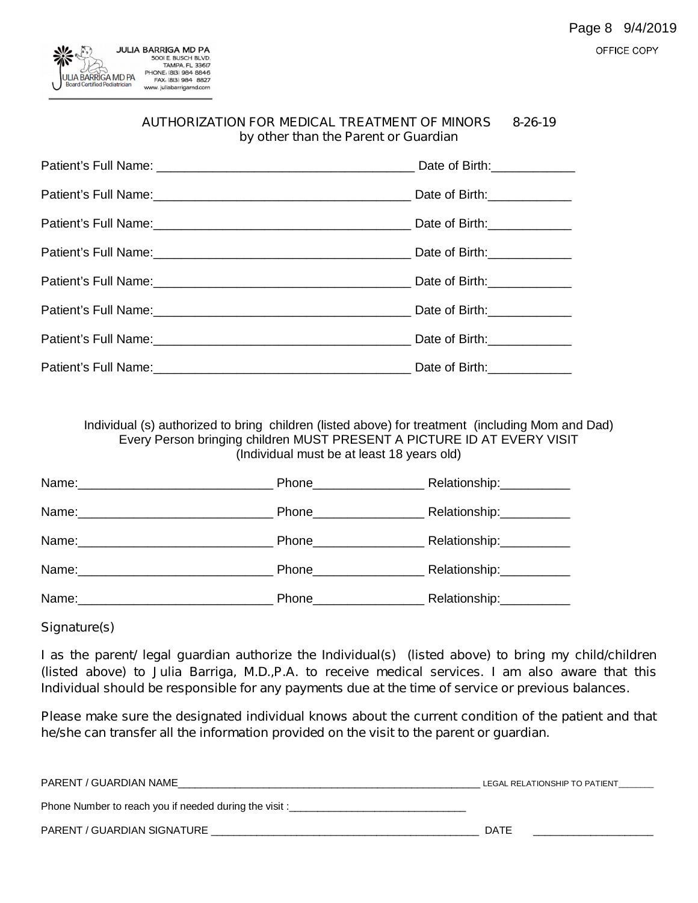

| <b>AUTHORIZATION FOR MEDICAL TREATMENT OF MINORS</b> | 8-26-19 |
|------------------------------------------------------|---------|
| by other than the Parent or Guardian                 |         |

| Date of Birth: _____________ |
|------------------------------|
|                              |
|                              |
|                              |
|                              |
|                              |
|                              |
|                              |

Individual (s) authorized to bring children (listed above) for treatment (including Mom and Dad) Every Person bringing children MUST PRESENT A PICTURE ID AT EVERY VISIT (Individual must be at least 18 years old)

|       | Phone_________________  | Relationship:___________ |
|-------|-------------------------|--------------------------|
|       | Phone__________________ | Relationship:            |
|       | Phone__________________ | Relationship:___________ |
|       | Phone_________________  | Relationship:__________  |
| Name: | Phone                   | Relationship:            |

*Signature(s)*

*I as the parent/ legal guardian authorize the Individual(s) (listed above) to bring my child/children (listed above) to Julia Barriga, M.D.,P.A. to receive medical services. I am also aware that this Individual should be responsible for any payments due at the time of service or previous balances.*

*Please make sure the designated individual knows about the current condition of the patient and that he/she can transfer all the information provided on the visit to the parent or guardian.*

| PARENT / GUARDIAN NAME                                 | LEGAL RELATIONSHIP TO PATIENT |
|--------------------------------------------------------|-------------------------------|
| Phone Number to reach you if needed during the visit : |                               |
| PARENT / GUARDIAN SIGNATURE                            | DATE                          |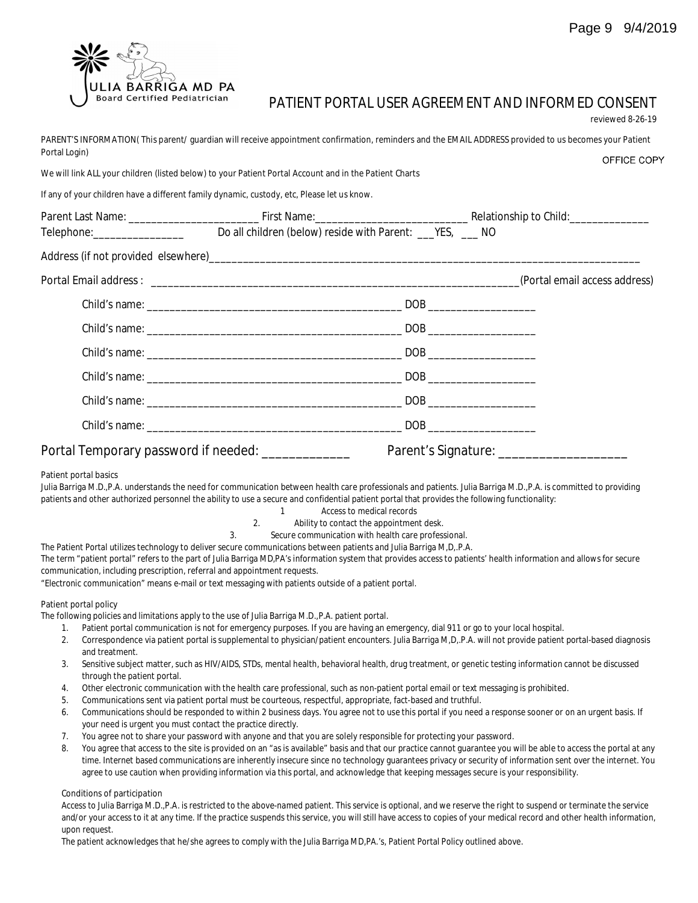

# **PATIENT PORTAL USER AGREEMENT AND INFORMED CONSENT**

**reviewed 8-26-19**

PARENT'S INFORMATION(This parent/ quardian will receive appointment confirmation, reminders and the EMAIL ADDRESS provided to us becomes your Patient **Portal Login)** OFFICE COPY

We will link ALL your children (listed below) to your Patient Portal Account and in the Patient Charts

**If any of your children have a different family dynamic, custody, etc, Please let us know.**

|                       |                                                    |                                                                                                                                                                                                                         | Parent Last Name: Contract Contract Contract Contract Contract Contract Contract Contract Contract Contract Contract Contract Contract Contract Contract Contract Contract Contract Contract Contract Contract Contract Contra |
|-----------------------|----------------------------------------------------|-------------------------------------------------------------------------------------------------------------------------------------------------------------------------------------------------------------------------|--------------------------------------------------------------------------------------------------------------------------------------------------------------------------------------------------------------------------------|
|                       |                                                    |                                                                                                                                                                                                                         |                                                                                                                                                                                                                                |
|                       |                                                    |                                                                                                                                                                                                                         |                                                                                                                                                                                                                                |
|                       |                                                    |                                                                                                                                                                                                                         |                                                                                                                                                                                                                                |
|                       |                                                    |                                                                                                                                                                                                                         |                                                                                                                                                                                                                                |
|                       |                                                    |                                                                                                                                                                                                                         |                                                                                                                                                                                                                                |
|                       |                                                    |                                                                                                                                                                                                                         |                                                                                                                                                                                                                                |
|                       |                                                    |                                                                                                                                                                                                                         |                                                                                                                                                                                                                                |
|                       |                                                    |                                                                                                                                                                                                                         |                                                                                                                                                                                                                                |
|                       | Portal Temporary password if needed: _____________ |                                                                                                                                                                                                                         |                                                                                                                                                                                                                                |
| Patient portal basics | $1 - 1$<br>2.                                      | patients and other authorized personnel the ability to use a secure and confidential patient portal that provides the following functionality:<br>Access to medical records<br>Ability to contact the appointment desk. | Julia Barriga M.D.,P.A. understands the need for communication between health care professionals and patients. Julia Barriga M.D.,P.A. is committed to providing                                                               |

3. Secure communication with health care professional.

The Patient Portal utilizes technology to deliver secure communications between patients and Julia Barriga M,D,.P.A.

The term "patient portal" refers to the part of Julia Barriga MD,PA's information system that provides access to patients' health information and allows for secure communication, including prescription, referral and appointment requests.

"Electronic communication" means e-mail or text messaging with patients outside of a patient portal.

#### **Patient portal policy**

The following policies and limitations apply to the use of Julia Barriga M.D.,P.A. patient portal.

- 1. Patient portal communication is not for emergency purposes. If you are having an emergency, dial 911 or go to your local hospital.
- 2. Correspondence via patient portal is supplemental to physician/patient encounters. Julia Barriga M,D,.P.A. will not provide patient portal-based diagnosis and treatment.
- 3. Sensitive subject matter, such as HIV/AIDS, STDs, mental health, behavioral health, drug treatment, or genetic testing information cannot be discussed through the patient portal.
- 4. Other electronic communication with the health care professional, such as non-patient portal email or text messaging is prohibited.
- 5. Communications sent via patient portal must be courteous, respectful, appropriate, fact-based and truthful.
- 6. Communications should be responded to within 2 business days. You agree not to use this portal if you need a response sooner or on an urgent basis. If your need is urgent you must contact the practice directly.
- 7. You agree not to share your password with anyone and that you are solely responsible for protecting your password.
- 8. You agree that access to the site is provided on an "as is available" basis and that our practice cannot guarantee you will be able to access the portal at any time. Internet based communications are inherently insecure since no technology guarantees privacy or security of information sent over the internet. You agree to use caution when providing information via this portal, and acknowledge that keeping messages secure is your responsibility.

#### **Conditions of participation**

Access to Julia Barriga M.D.,P.A. is restricted to the above-named patient. This service is optional, and we reserve the right to suspend or terminate the service and/or your access to it at any time. If the practice suspends this service, you will still have access to copies of your medical record and other health information, upon request.

The patient acknowledges that he/she agrees to comply with the Julia Barriga MD,PA.'s, Patient Portal Policy outlined above.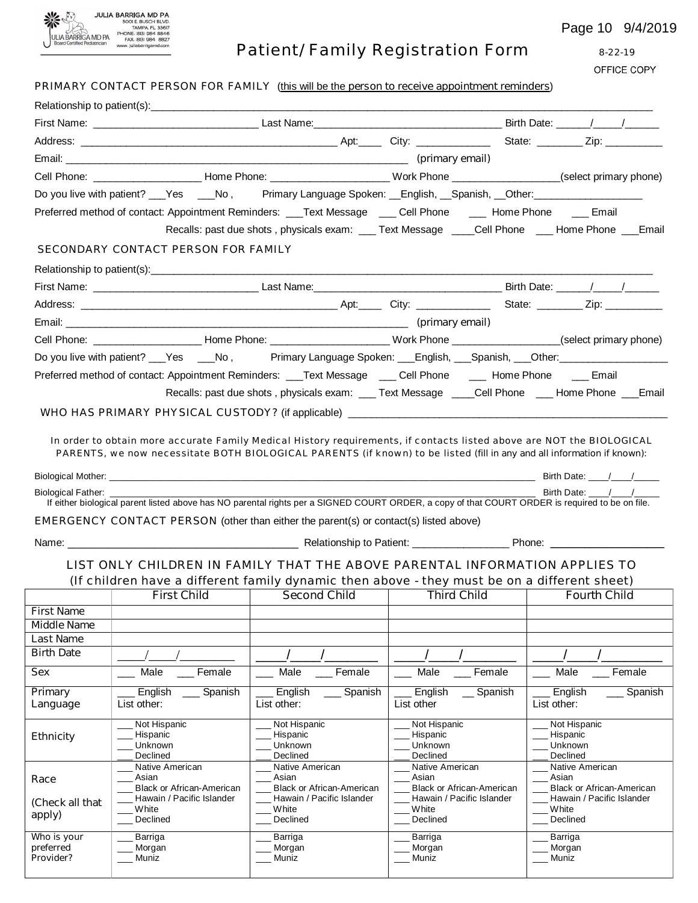

**Who is your preferred Provider?**

\_\_\_ Barriga \_\_\_ Morgan  $\equiv$  Muniz

Page 10 9/4/2019

| JLIA BARRIGA MD PA<br><b>Board Certified Pediatrician</b> | PHONE: (813) 984 8846<br>FAX: (813) 984 8827<br>www.juliabarrigamd.com                                                                                                                                                                           | Patient/ Family Registration Form                             |                                                               | Page 10 9/4/201<br>$8 - 22 - 19$<br>OFFICE COPY                                                                                |
|-----------------------------------------------------------|--------------------------------------------------------------------------------------------------------------------------------------------------------------------------------------------------------------------------------------------------|---------------------------------------------------------------|---------------------------------------------------------------|--------------------------------------------------------------------------------------------------------------------------------|
|                                                           | PRIMARY CONTACT PERSON FOR FAMILY (this will be the person to receive appointment reminders)                                                                                                                                                     |                                                               |                                                               |                                                                                                                                |
|                                                           |                                                                                                                                                                                                                                                  |                                                               |                                                               |                                                                                                                                |
|                                                           |                                                                                                                                                                                                                                                  |                                                               |                                                               |                                                                                                                                |
|                                                           |                                                                                                                                                                                                                                                  |                                                               |                                                               |                                                                                                                                |
|                                                           |                                                                                                                                                                                                                                                  |                                                               |                                                               | Cell Phone: __________________________Home Phone: _________________________Work Phone __________________(select primary phone) |
|                                                           |                                                                                                                                                                                                                                                  |                                                               |                                                               |                                                                                                                                |
|                                                           | Do you live with patient? ___Yes ____No, Primary Language Spoken: __English, __Spanish, __Other: _______________                                                                                                                                 |                                                               |                                                               |                                                                                                                                |
|                                                           | Preferred method of contact: Appointment Reminders: ___Text Message ____ Cell Phone _____ Home Phone ____ Email                                                                                                                                  |                                                               |                                                               |                                                                                                                                |
|                                                           |                                                                                                                                                                                                                                                  |                                                               |                                                               | Recalls: past due shots, physicals exam: ___ Text Message ____Cell Phone ___ Home Phone ___ Email                              |
|                                                           | SECONDARY CONTACT PERSON FOR FAMILY                                                                                                                                                                                                              |                                                               |                                                               |                                                                                                                                |
|                                                           |                                                                                                                                                                                                                                                  |                                                               |                                                               |                                                                                                                                |
|                                                           |                                                                                                                                                                                                                                                  |                                                               |                                                               |                                                                                                                                |
|                                                           |                                                                                                                                                                                                                                                  |                                                               |                                                               |                                                                                                                                |
|                                                           |                                                                                                                                                                                                                                                  |                                                               |                                                               |                                                                                                                                |
|                                                           |                                                                                                                                                                                                                                                  |                                                               |                                                               | Cell Phone: _________________________Home Phone: _________________________Work Phone ________________(select primary phone)    |
|                                                           |                                                                                                                                                                                                                                                  |                                                               |                                                               | Do you live with patient? ___Yes ____No, Primary Language Spoken: ___English, ___Spanish, ___Other: __________                 |
|                                                           | Preferred method of contact: Appointment Reminders: ___Text Message ____ Cell Phone _____ Home Phone _____ Email                                                                                                                                 |                                                               |                                                               |                                                                                                                                |
|                                                           |                                                                                                                                                                                                                                                  |                                                               |                                                               | Recalls: past due shots, physicals exam: ___ Text Message ____Cell Phone ___ Home Phone ___ Email                              |
|                                                           |                                                                                                                                                                                                                                                  |                                                               |                                                               |                                                                                                                                |
|                                                           | In order to obtain more accurate Family Medical History requirements, if contacts listed above are NOT the BIOLOGICAL<br>PARENTS, we now necessitate BOTH BIOLOGICAL PARENTS (if known) to be listed (fill in any and all information if known): |                                                               |                                                               |                                                                                                                                |
|                                                           |                                                                                                                                                                                                                                                  |                                                               |                                                               |                                                                                                                                |
| Biological Father:                                        |                                                                                                                                                                                                                                                  |                                                               |                                                               | Birth Date: / /                                                                                                                |
|                                                           | If either biological parent listed above has NO parental rights per a SIGNED COURT ORDER, a copy of that COURT ORDER is required to be on file.                                                                                                  |                                                               |                                                               |                                                                                                                                |
|                                                           | EMERGENCY CONTACT PERSON (other than either the parent(s) or contact(s) listed above)                                                                                                                                                            |                                                               |                                                               |                                                                                                                                |
| Name:                                                     |                                                                                                                                                                                                                                                  | Relationship to Patient:                                      |                                                               | Phone:                                                                                                                         |
|                                                           | LIST ONLY CHILDREN IN FAMILY THAT THE ABOVE PARENTAL INFORMATION APPLIES TO                                                                                                                                                                      |                                                               |                                                               |                                                                                                                                |
|                                                           | (If children have a different family dynamic then above - they must be on a different sheet)                                                                                                                                                     |                                                               |                                                               |                                                                                                                                |
|                                                           | <b>First Child</b>                                                                                                                                                                                                                               | <b>Second Child</b>                                           | <b>Third Child</b>                                            | <b>Fourth Child</b>                                                                                                            |
| <b>First Name</b>                                         |                                                                                                                                                                                                                                                  |                                                               |                                                               |                                                                                                                                |
| <b>Middle Name</b>                                        |                                                                                                                                                                                                                                                  |                                                               |                                                               |                                                                                                                                |
| <b>Last Name</b><br><b>Birth Date</b>                     |                                                                                                                                                                                                                                                  |                                                               |                                                               |                                                                                                                                |
|                                                           |                                                                                                                                                                                                                                                  |                                                               |                                                               |                                                                                                                                |
| Sex                                                       | Male<br>Female                                                                                                                                                                                                                                   | Male<br>Female                                                | Male<br>Female                                                | Male<br>Female                                                                                                                 |
| Primary<br>Language                                       | English<br>Spanish<br>List other:                                                                                                                                                                                                                | English<br>Spanish<br>List other:                             | English<br>Spanish<br>List other                              | English<br>Spanish<br>List other:                                                                                              |
|                                                           | Not Hispanic<br>Hispanic                                                                                                                                                                                                                         | Not Hispanic<br>Hispanic                                      | Not Hispanic<br>Hispanic                                      | Not Hispanic<br>Hispanic                                                                                                       |
| <b>Ethnicity</b>                                          | Unknown                                                                                                                                                                                                                                          | Unknown                                                       | Unknown                                                       | Unknown                                                                                                                        |
|                                                           | Declined<br>Native American                                                                                                                                                                                                                      | Declined<br>Native American                                   | Declined<br>Native American                                   | Declined<br>Native American                                                                                                    |
| Race                                                      | Asian                                                                                                                                                                                                                                            | Asian                                                         | Asian                                                         | Asian                                                                                                                          |
| (Check all that                                           | <b>Black or African-American</b><br>Hawain / Pacific Islander                                                                                                                                                                                    | <b>Black or African-American</b><br>Hawain / Pacific Islander | <b>Black or African-American</b><br>Hawain / Pacific Islander | <b>Black or African-American</b><br>Hawain / Pacific Islander                                                                  |
| apply)                                                    | White<br>Declined                                                                                                                                                                                                                                | White<br>Declined                                             | White<br>Declined                                             | White<br>Declined                                                                                                              |

\_\_\_ Barriga \_\_\_ Morgan  $\overline{\phantom{a}}$  Muniz

\_\_\_ Barriga \_\_\_ Morgan \_\_\_ Muniz

\_\_\_ Barriga \_\_\_ Morgan  $\overline{\phantom{a}}$  Muniz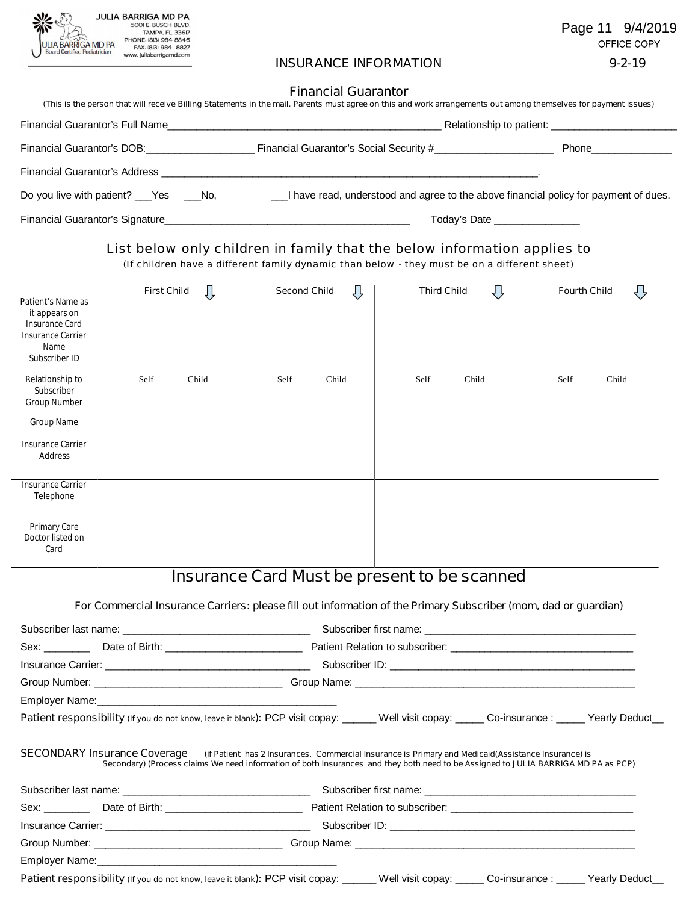

Page 11 9/4/2019 OFFICE COPY

#### **INSURANCE INFORMATION 9-2-19**

#### **Financial Guarantor**

| (This is the person that will receive Billing Statements in the mail. Parents must agree on this and work arrangements out among themselves for payment issues) |                                                                                        |                                |  |
|-----------------------------------------------------------------------------------------------------------------------------------------------------------------|----------------------------------------------------------------------------------------|--------------------------------|--|
| Financial Guarantor's Full Name                                                                                                                                 |                                                                                        |                                |  |
| Financial Guarantor's DOB:                                                                                                                                      |                                                                                        | Phone_______________           |  |
| Financial Guarantor's Address                                                                                                                                   | <u> 1980 - Jan James James Santan (j. 1980)</u>                                        |                                |  |
| Do you live with patient? ___ Yes ____ No,                                                                                                                      | __I have read, understood and agree to the above financial policy for payment of dues. |                                |  |
| Financial Guarantor's Signature                                                                                                                                 |                                                                                        | Today's Date _________________ |  |

List below only children in family that the below information applies to

(If children have a different family dynamic than below - they must be on a different sheet)

|                   | <b>First Child</b>                          | <b>Second Child</b>                         | <b>Third Child</b><br>Ł       | <b>Fourth Child</b><br><u>4 F</u>           |
|-------------------|---------------------------------------------|---------------------------------------------|-------------------------------|---------------------------------------------|
| Patient's Name as |                                             |                                             |                               |                                             |
| it appears on     |                                             |                                             |                               |                                             |
| Insurance Card    |                                             |                                             |                               |                                             |
| Insurance Carrier |                                             |                                             |                               |                                             |
| Name              |                                             |                                             |                               |                                             |
| Subscriber ID     |                                             |                                             |                               |                                             |
|                   |                                             |                                             |                               |                                             |
| Relationship to   | $\equiv$ Self<br>$\rule{1em}{0.15mm}$ Child | $\equiv$ Self<br>$\rule{1em}{0.15mm}$ Child | $\equiv$ Self<br>$\_\_$ Child | $\equiv$ Self<br>$\rule{1em}{0.15mm}$ Child |
| Subscriber        |                                             |                                             |                               |                                             |
| Group Number      |                                             |                                             |                               |                                             |
| Group Name        |                                             |                                             |                               |                                             |
|                   |                                             |                                             |                               |                                             |
| Insurance Carrier |                                             |                                             |                               |                                             |
| Address           |                                             |                                             |                               |                                             |
|                   |                                             |                                             |                               |                                             |
| Insurance Carrier |                                             |                                             |                               |                                             |
| Telephone         |                                             |                                             |                               |                                             |
|                   |                                             |                                             |                               |                                             |
|                   |                                             |                                             |                               |                                             |
| Primary Care      |                                             |                                             |                               |                                             |
| Doctor listed on  |                                             |                                             |                               |                                             |
| Card              |                                             |                                             |                               |                                             |
|                   |                                             |                                             |                               |                                             |

# **Insurance Card Must be present to be scanned**

#### **For Commercial Insurance Carriers: please fill out information of the Primary Subscriber (mom, dad or guardian)**

| <b>Patient responsibility</b> (If you do not know, leave it blank): PCP visit copay: ______ Well visit copay: ______ Co-insurance : _____ Yearly Deduct__                                                                                                              |
|------------------------------------------------------------------------------------------------------------------------------------------------------------------------------------------------------------------------------------------------------------------------|
| SECONDARY Insurance Coverage (if Patient has 2 Insurances, Commercial Insurance is Primary and Medicaid(Assistance Insurance) is<br>Secondary) (Process claims We need information of both Insurances and they both need to be Assigned to JULIA BARRIGA MD PA as PCP) |
|                                                                                                                                                                                                                                                                        |
|                                                                                                                                                                                                                                                                        |
|                                                                                                                                                                                                                                                                        |
|                                                                                                                                                                                                                                                                        |
| Patient responsibility (If you do not know, leave it blank): PCP visit copay: _____ Well visit copay: _____ Co-insurance : _____ Yearly Deduct_                                                                                                                        |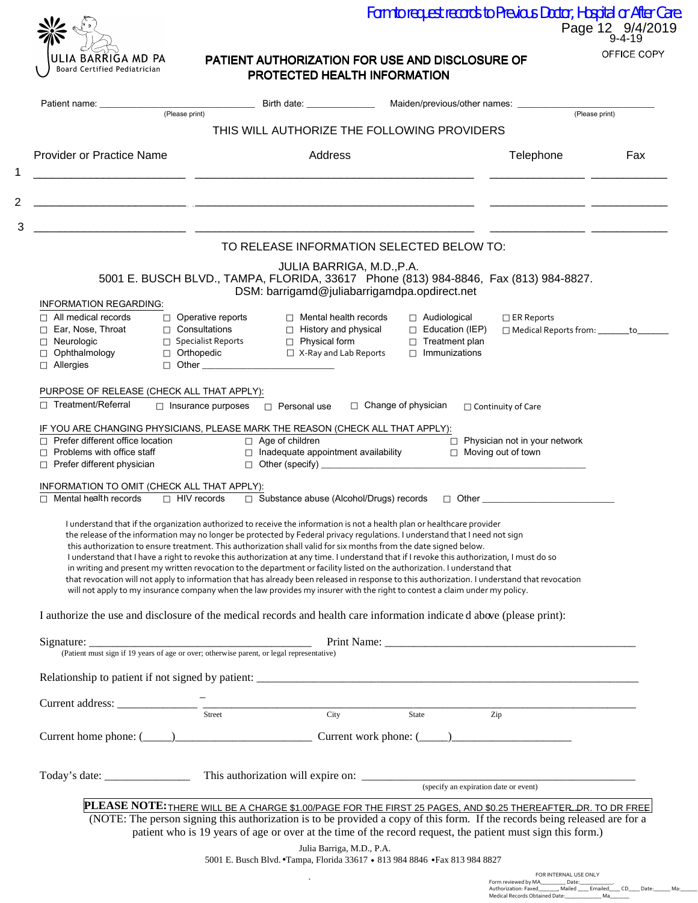| ULIA BARRIGA MD PA<br>Board Certified Pediatrician |
|----------------------------------------------------|

N

O

## Page 12 9/4/2019 Form to request records to Previous Doctor, Hospital or After Care.

### PATIENT AUTHORIZATION FOR USE AND DISCLOSURE OF PROTECTED HEALTH INFORMATION

|                                                                                                                                       |                                                                                             | Birth date: __________________ Maiden/previous/other names: ____________________                                                                                                                                                                                                                                                                                                                                                                                                                                                                                                                                                                                                                                                                                                                                                                                                                                                    |                                                                                                |                                                              |     |
|---------------------------------------------------------------------------------------------------------------------------------------|---------------------------------------------------------------------------------------------|-------------------------------------------------------------------------------------------------------------------------------------------------------------------------------------------------------------------------------------------------------------------------------------------------------------------------------------------------------------------------------------------------------------------------------------------------------------------------------------------------------------------------------------------------------------------------------------------------------------------------------------------------------------------------------------------------------------------------------------------------------------------------------------------------------------------------------------------------------------------------------------------------------------------------------------|------------------------------------------------------------------------------------------------|--------------------------------------------------------------|-----|
|                                                                                                                                       | (Please print)                                                                              |                                                                                                                                                                                                                                                                                                                                                                                                                                                                                                                                                                                                                                                                                                                                                                                                                                                                                                                                     |                                                                                                | (Please print)                                               |     |
|                                                                                                                                       |                                                                                             | THIS WILL AUTHORIZE THE FOLLOWING PROVIDERS                                                                                                                                                                                                                                                                                                                                                                                                                                                                                                                                                                                                                                                                                                                                                                                                                                                                                         |                                                                                                |                                                              |     |
| <b>Provider or Practice Name</b>                                                                                                      |                                                                                             | Address                                                                                                                                                                                                                                                                                                                                                                                                                                                                                                                                                                                                                                                                                                                                                                                                                                                                                                                             |                                                                                                | Telephone                                                    | Fax |
|                                                                                                                                       |                                                                                             | <u> 2000 - Jan James James Jan James James James James James James James James James James James James James Jam</u><br>TO RELEASE INFORMATION SELECTED BELOW TO:<br>JULIA BARRIGA, M.D., P.A.                                                                                                                                                                                                                                                                                                                                                                                                                                                                                                                                                                                                                                                                                                                                      |                                                                                                |                                                              |     |
|                                                                                                                                       |                                                                                             | 5001 E. BUSCH BLVD., TAMPA, FLORIDA, 33617 Phone (813) 984-8846, Fax (813) 984-8827.<br>DSM: barrigamd@juliabarrigamdpa.opdirect.net                                                                                                                                                                                                                                                                                                                                                                                                                                                                                                                                                                                                                                                                                                                                                                                                |                                                                                                |                                                              |     |
| <b>INFORMATION REGARDING:</b><br>$\Box$ All medical records<br>Ear, Nose, Throat<br>□ Neurologic<br>Ophthalmology<br>$\Box$ Allergies | $\Box$ Operative reports<br>□ Consultations<br>$\Box$ Specialist Reports<br>Orthopedic      | $\Box$ Mental health records<br>□ History and physical<br>□ Physical form<br>□ X-Ray and Lab Reports                                                                                                                                                                                                                                                                                                                                                                                                                                                                                                                                                                                                                                                                                                                                                                                                                                | $\Box$ Audiological<br>$\Box$ Education (IEP)<br>$\Box$ Treatment plan<br>$\Box$ Immunizations | $\Box$ ER Reports<br>□ Medical Reports from: _______to____   |     |
| $\Box$ Treatment/Referral                                                                                                             | PURPOSE OF RELEASE (CHECK ALL THAT APPLY):<br>$\Box$ Insurance purposes $\Box$ Personal use |                                                                                                                                                                                                                                                                                                                                                                                                                                                                                                                                                                                                                                                                                                                                                                                                                                                                                                                                     | $\Box$ Change of physician                                                                     | $\Box$ Continuity of Care                                    |     |
| $\Box$ Prefer different office location<br>Problems with office staff<br>$\Box$ Prefer different physician                            |                                                                                             | IF YOU ARE CHANGING PHYSICIANS, PLEASE MARK THE REASON (CHECK ALL THAT APPLY):<br>$\Box$ Age of children<br>$\Box$ Inadequate appointment availability<br>$\Box$ Other (specify)                                                                                                                                                                                                                                                                                                                                                                                                                                                                                                                                                                                                                                                                                                                                                    |                                                                                                | $\Box$ Physician not in your network<br>□ Moving out of town |     |
| □ Mental health records                                                                                                               | INFORMATION TO OMIT (CHECK ALL THAT APPLY):                                                 | □ HIV records □ Substance abuse (Alcohol/Drugs) records □ Other ________________                                                                                                                                                                                                                                                                                                                                                                                                                                                                                                                                                                                                                                                                                                                                                                                                                                                    |                                                                                                |                                                              |     |
|                                                                                                                                       |                                                                                             | I understand that if the organization authorized to receive the information is not a health plan or healthcare provider<br>the release of the information may no longer be protected by Federal privacy regulations. I understand that I need not sign<br>this authorization to ensure treatment. This authorization shall valid for six months from the date signed below.<br>I understand that I have a right to revoke this authorization at any time. I understand that if I revoke this authorization, I must do so<br>in writing and present my written revocation to the department or facility listed on the authorization. I understand that<br>that revocation will not apply to information that has already been released in response to this authorization. I understand that revocation<br>will not apply to my insurance company when the law provides my insurer with the right to contest a claim under my policy. |                                                                                                |                                                              |     |
|                                                                                                                                       |                                                                                             | I authorize the use and disclosure of the medical records and health care information indicated above (please print):                                                                                                                                                                                                                                                                                                                                                                                                                                                                                                                                                                                                                                                                                                                                                                                                               |                                                                                                |                                                              |     |
|                                                                                                                                       |                                                                                             |                                                                                                                                                                                                                                                                                                                                                                                                                                                                                                                                                                                                                                                                                                                                                                                                                                                                                                                                     |                                                                                                |                                                              |     |
|                                                                                                                                       |                                                                                             | Signature: <u>Consequent of the Signature:</u> Print Name: <u>Print Name:</u> Print Name: <u>Consequent and the Signature of the Signature of the Signature of the Signature of the Signature of the Signature of the Signature of the Sig</u>                                                                                                                                                                                                                                                                                                                                                                                                                                                                                                                                                                                                                                                                                      |                                                                                                |                                                              |     |
|                                                                                                                                       |                                                                                             |                                                                                                                                                                                                                                                                                                                                                                                                                                                                                                                                                                                                                                                                                                                                                                                                                                                                                                                                     |                                                                                                |                                                              |     |
|                                                                                                                                       |                                                                                             |                                                                                                                                                                                                                                                                                                                                                                                                                                                                                                                                                                                                                                                                                                                                                                                                                                                                                                                                     |                                                                                                |                                                              |     |
|                                                                                                                                       |                                                                                             | $Current address: ____________ \qquad \qquad \frac{1}{\text{Street}}$                                                                                                                                                                                                                                                                                                                                                                                                                                                                                                                                                                                                                                                                                                                                                                                                                                                               |                                                                                                |                                                              |     |
|                                                                                                                                       |                                                                                             |                                                                                                                                                                                                                                                                                                                                                                                                                                                                                                                                                                                                                                                                                                                                                                                                                                                                                                                                     |                                                                                                |                                                              |     |
|                                                                                                                                       |                                                                                             |                                                                                                                                                                                                                                                                                                                                                                                                                                                                                                                                                                                                                                                                                                                                                                                                                                                                                                                                     |                                                                                                |                                                              |     |

.

| FOR INTERNAL USE ONLY          |                |    |      |       |     |  |  |  |
|--------------------------------|----------------|----|------|-------|-----|--|--|--|
| Form reviewed by MA            | Date:          |    |      |       |     |  |  |  |
| Authorization: Faxed           | Mailed Emailed |    | - CD | Date: | Ma: |  |  |  |
| Medical Records Obtained Date: |                | Ma |      |       |     |  |  |  |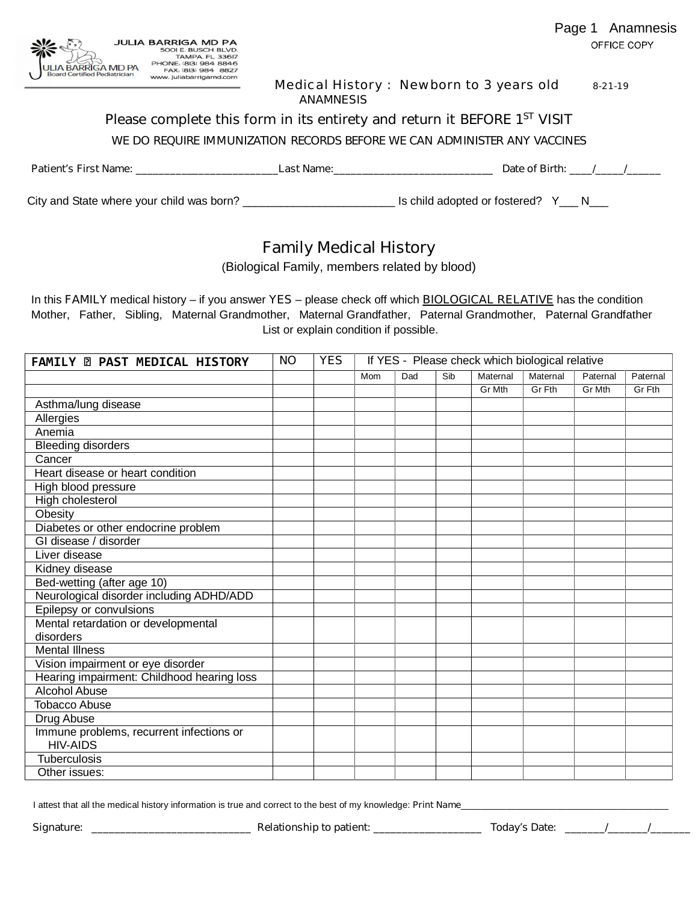

Medical History : Newborn to 3 years old 8-21-19

#### **ANAMNESIS**

 **Please complete this form in its entirety and return it BEFORE 1ST VISIT**

*WE DO REQUIRE IMMUNIZATION RECORDS BEFORE WE CAN ADMINISTER ANY VACCINES*

**Patient's First Name: \_\_\_\_\_\_\_\_\_\_\_\_\_\_\_\_\_\_\_\_\_\_\_\_\_Last Name:\_\_\_\_\_\_\_\_\_\_\_\_\_\_\_\_\_\_\_\_\_\_\_\_\_\_\_\_ Date of Birth:** *\_\_\_\_/\_\_\_\_\_/\_\_\_\_\_\_*

City and State where your child was born? \_\_\_\_\_\_\_\_\_\_\_\_\_\_\_\_\_\_\_\_\_\_\_\_ Is child adopted or fostered? Y\_\_\_ N\_\_\_

# **Family Medical History**

(Biological Family, members related by blood)

In this FAMILY medical history – if you answer YES – please check off which **BIOLOGICAL RELATIVE** has the condition Mother, Father, Sibling, Maternal Grandmother, Maternal Grandfather, Paternal Grandmother, Paternal Grandfather List or explain condition if possible.

| <b>FAMILY @ PAST MEDICAL HISTORY</b>                        | <b>NO</b> | <b>YES</b> | If YES - Please check which biological relative |     |     |          |          |          |          |
|-------------------------------------------------------------|-----------|------------|-------------------------------------------------|-----|-----|----------|----------|----------|----------|
|                                                             |           |            | Mom                                             | Dad | Sib | Maternal | Maternal | Paternal | Paternal |
|                                                             |           |            |                                                 |     |     | Gr Mth   | Gr Fth   | Gr Mth   | Gr Fth   |
| Asthma/lung disease                                         |           |            |                                                 |     |     |          |          |          |          |
| Allergies                                                   |           |            |                                                 |     |     |          |          |          |          |
| Anemia                                                      |           |            |                                                 |     |     |          |          |          |          |
| <b>Bleeding disorders</b>                                   |           |            |                                                 |     |     |          |          |          |          |
| Cancer                                                      |           |            |                                                 |     |     |          |          |          |          |
| Heart disease or heart condition                            |           |            |                                                 |     |     |          |          |          |          |
| High blood pressure                                         |           |            |                                                 |     |     |          |          |          |          |
| High cholesterol                                            |           |            |                                                 |     |     |          |          |          |          |
| Obesity                                                     |           |            |                                                 |     |     |          |          |          |          |
| Diabetes or other endocrine problem                         |           |            |                                                 |     |     |          |          |          |          |
| GI disease / disorder                                       |           |            |                                                 |     |     |          |          |          |          |
| Liver disease                                               |           |            |                                                 |     |     |          |          |          |          |
| Kidney disease                                              |           |            |                                                 |     |     |          |          |          |          |
| Bed-wetting (after age 10)                                  |           |            |                                                 |     |     |          |          |          |          |
| Neurological disorder including ADHD/ADD                    |           |            |                                                 |     |     |          |          |          |          |
| Epilepsy or convulsions                                     |           |            |                                                 |     |     |          |          |          |          |
| Mental retardation or developmental                         |           |            |                                                 |     |     |          |          |          |          |
| disorders                                                   |           |            |                                                 |     |     |          |          |          |          |
| <b>Mental Illness</b>                                       |           |            |                                                 |     |     |          |          |          |          |
| Vision impairment or eye disorder                           |           |            |                                                 |     |     |          |          |          |          |
| Hearing impairment: Childhood hearing loss                  |           |            |                                                 |     |     |          |          |          |          |
| <b>Alcohol Abuse</b>                                        |           |            |                                                 |     |     |          |          |          |          |
| <b>Tobacco Abuse</b>                                        |           |            |                                                 |     |     |          |          |          |          |
| Drug Abuse                                                  |           |            |                                                 |     |     |          |          |          |          |
| Immune problems, recurrent infections or<br><b>HIV-AIDS</b> |           |            |                                                 |     |     |          |          |          |          |
| <b>Tuberculosis</b>                                         |           |            |                                                 |     |     |          |          |          |          |
| Other issues:                                               |           |            |                                                 |     |     |          |          |          |          |

I attest that all the medical history information is true and correct to the best of my knowledge: Print Name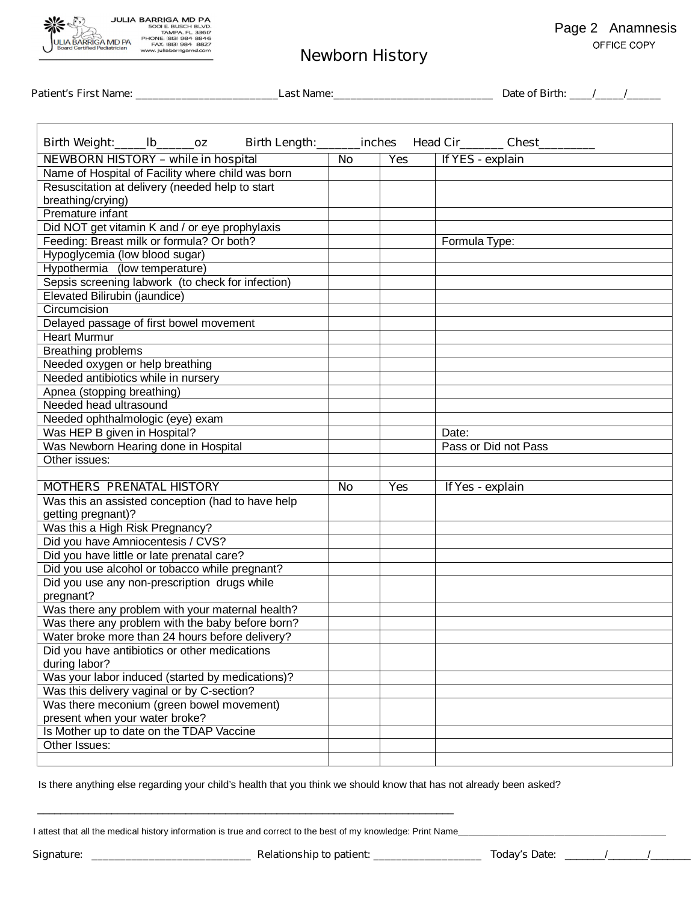

# **Newborn History**

**Patient's First Name: \_\_\_\_\_\_\_\_\_\_\_\_\_\_\_\_\_\_\_\_\_\_\_\_\_Last Name:\_\_\_\_\_\_\_\_\_\_\_\_\_\_\_\_\_\_\_\_\_\_\_\_\_\_\_\_ Date of Birth:** *\_\_\_\_/\_\_\_\_\_/\_\_\_\_\_\_*

| Birth Length: ________ inches Head Cir_________ Chest____<br>Birth Weight:______lb_______oz |           |            |                      |  |  |  |  |  |
|---------------------------------------------------------------------------------------------|-----------|------------|----------------------|--|--|--|--|--|
| <b>NEWBORN HISTORY - while in hospital</b>                                                  | <b>No</b> | <b>Yes</b> | If YES - explain     |  |  |  |  |  |
| Name of Hospital of Facility where child was born                                           |           |            |                      |  |  |  |  |  |
| Resuscitation at delivery (needed help to start                                             |           |            |                      |  |  |  |  |  |
| breathing/crying)                                                                           |           |            |                      |  |  |  |  |  |
| Premature infant                                                                            |           |            |                      |  |  |  |  |  |
| Did NOT get vitamin K and / or eye prophylaxis                                              |           |            |                      |  |  |  |  |  |
| Feeding: Breast milk or formula? Or both?                                                   |           |            | Formula Type:        |  |  |  |  |  |
| Hypoglycemia (low blood sugar)                                                              |           |            |                      |  |  |  |  |  |
| Hypothermia (low temperature)                                                               |           |            |                      |  |  |  |  |  |
| Sepsis screening labwork (to check for infection)                                           |           |            |                      |  |  |  |  |  |
| Elevated Bilirubin (jaundice)                                                               |           |            |                      |  |  |  |  |  |
| Circumcision                                                                                |           |            |                      |  |  |  |  |  |
| Delayed passage of first bowel movement                                                     |           |            |                      |  |  |  |  |  |
| <b>Heart Murmur</b>                                                                         |           |            |                      |  |  |  |  |  |
| <b>Breathing problems</b>                                                                   |           |            |                      |  |  |  |  |  |
| Needed oxygen or help breathing                                                             |           |            |                      |  |  |  |  |  |
| Needed antibiotics while in nursery                                                         |           |            |                      |  |  |  |  |  |
| Apnea (stopping breathing)                                                                  |           |            |                      |  |  |  |  |  |
| Needed head ultrasound                                                                      |           |            |                      |  |  |  |  |  |
| Needed ophthalmologic (eye) exam                                                            |           |            |                      |  |  |  |  |  |
| Was HEP B given in Hospital?                                                                |           |            | Date:                |  |  |  |  |  |
| Was Newborn Hearing done in Hospital                                                        |           |            | Pass or Did not Pass |  |  |  |  |  |
| Other issues:                                                                               |           |            |                      |  |  |  |  |  |
|                                                                                             |           |            |                      |  |  |  |  |  |
| <b>MOTHERS PRENATAL HISTORY</b>                                                             | <b>No</b> | <b>Yes</b> | If Yes - explain     |  |  |  |  |  |
| Was this an assisted conception (had to have help                                           |           |            |                      |  |  |  |  |  |
| getting pregnant)?                                                                          |           |            |                      |  |  |  |  |  |
| Was this a High Risk Pregnancy?                                                             |           |            |                      |  |  |  |  |  |
| Did you have Amniocentesis / CVS?                                                           |           |            |                      |  |  |  |  |  |
|                                                                                             |           |            |                      |  |  |  |  |  |
| Did you have little or late prenatal care?                                                  |           |            |                      |  |  |  |  |  |
| Did you use alcohol or tobacco while pregnant?                                              |           |            |                      |  |  |  |  |  |
| Did you use any non-prescription drugs while                                                |           |            |                      |  |  |  |  |  |
| pregnant?                                                                                   |           |            |                      |  |  |  |  |  |
| Was there any problem with your maternal health?                                            |           |            |                      |  |  |  |  |  |
| Was there any problem with the baby before born?                                            |           |            |                      |  |  |  |  |  |
| Water broke more than 24 hours before delivery?                                             |           |            |                      |  |  |  |  |  |
| Did you have antibiotics or other medications                                               |           |            |                      |  |  |  |  |  |
| during labor?                                                                               |           |            |                      |  |  |  |  |  |
| Was your labor induced (started by medications)?                                            |           |            |                      |  |  |  |  |  |
| Was this delivery vaginal or by C-section?                                                  |           |            |                      |  |  |  |  |  |
| Was there meconium (green bowel movement)                                                   |           |            |                      |  |  |  |  |  |
| present when your water broke?                                                              |           |            |                      |  |  |  |  |  |
| Is Mother up to date on the TDAP Vaccine                                                    |           |            |                      |  |  |  |  |  |
| Other Issues:                                                                               |           |            |                      |  |  |  |  |  |

Is there anything else regarding your child's health that you think we should know that has not already been asked?

I attest that all the medical history information is true and correct to the best of my knowledge: Print Name\_

 $\mathcal{L}_\text{max}$  , and the set of the set of the set of the set of the set of the set of the set of the set of the set of the set of the set of the set of the set of the set of the set of the set of the set of the set of the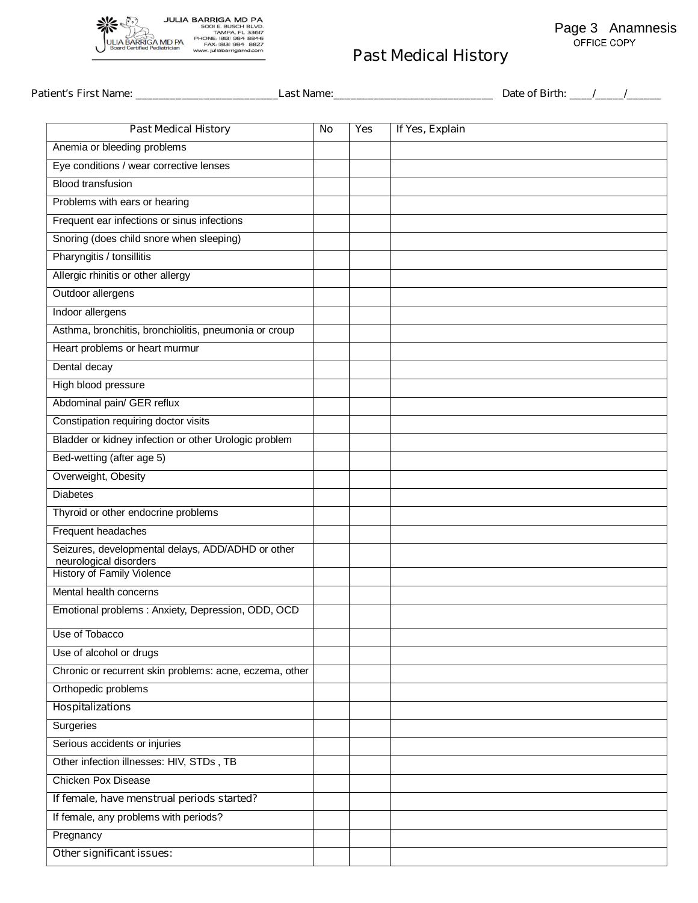

| Patient's First Name: <b>Name</b>                           | Last Name: |            |                 | Date of Birth: ///// |
|-------------------------------------------------------------|------------|------------|-----------------|----------------------|
| <b>Past Medical History</b>                                 | <b>No</b>  | <b>Yes</b> | If Yes, Explain |                      |
| Anemia or bleeding problems                                 |            |            |                 |                      |
| Eye conditions / wear corrective lenses                     |            |            |                 |                      |
| <b>Blood transfusion</b>                                    |            |            |                 |                      |
| Problems with ears or hearing                               |            |            |                 |                      |
| Frequent ear infections or sinus infections                 |            |            |                 |                      |
| Snoring (does child snore when sleeping)                    |            |            |                 |                      |
| Pharyngitis / tonsillitis                                   |            |            |                 |                      |
| Allergic rhinitis or other allergy                          |            |            |                 |                      |
| Outdoor allergens                                           |            |            |                 |                      |
| Indoor allergens                                            |            |            |                 |                      |
| Asthma, bronchitis, bronchiolitis, pneumonia or croup       |            |            |                 |                      |
| Heart problems or heart murmur                              |            |            |                 |                      |
| Dental decay                                                |            |            |                 |                      |
| High blood pressure                                         |            |            |                 |                      |
| Abdominal pain/ GER reflux                                  |            |            |                 |                      |
| Constipation requiring doctor visits                        |            |            |                 |                      |
| Bladder or kidney infection or other Urologic problem       |            |            |                 |                      |
| Bed-wetting (after age 5)                                   |            |            |                 |                      |
| Overweight, Obesity                                         |            |            |                 |                      |
| <b>Diabetes</b>                                             |            |            |                 |                      |
| Thyroid or other endocrine problems                         |            |            |                 |                      |
| Frequent headaches                                          |            |            |                 |                      |
| Seizures, developmental delays, ADD/ADHD or other           |            |            |                 |                      |
| neurological disorders<br><b>History of Family Violence</b> |            |            |                 |                      |
| Mental health concerns                                      |            |            |                 |                      |
| Emotional problems : Anxiety, Depression, ODD, OCD          |            |            |                 |                      |
|                                                             |            |            |                 |                      |
| Use of Tobacco                                              |            |            |                 |                      |
| Use of alcohol or drugs                                     |            |            |                 |                      |
| Chronic or recurrent skin problems: acne, eczema, other     |            |            |                 |                      |
| Orthopedic problems                                         |            |            |                 |                      |
| <b>Hospitalizations</b>                                     |            |            |                 |                      |
| <b>Surgeries</b>                                            |            |            |                 |                      |
| Serious accidents or injuries                               |            |            |                 |                      |
| Other infection illnesses: HIV, STDs, TB                    |            |            |                 |                      |
| <b>Chicken Pox Disease</b>                                  |            |            |                 |                      |
| If female, have menstrual periods started?                  |            |            |                 |                      |
| If female, any problems with periods?                       |            |            |                 |                      |
| Pregnancy                                                   |            |            |                 |                      |
| Other significant issues:                                   |            |            |                 |                      |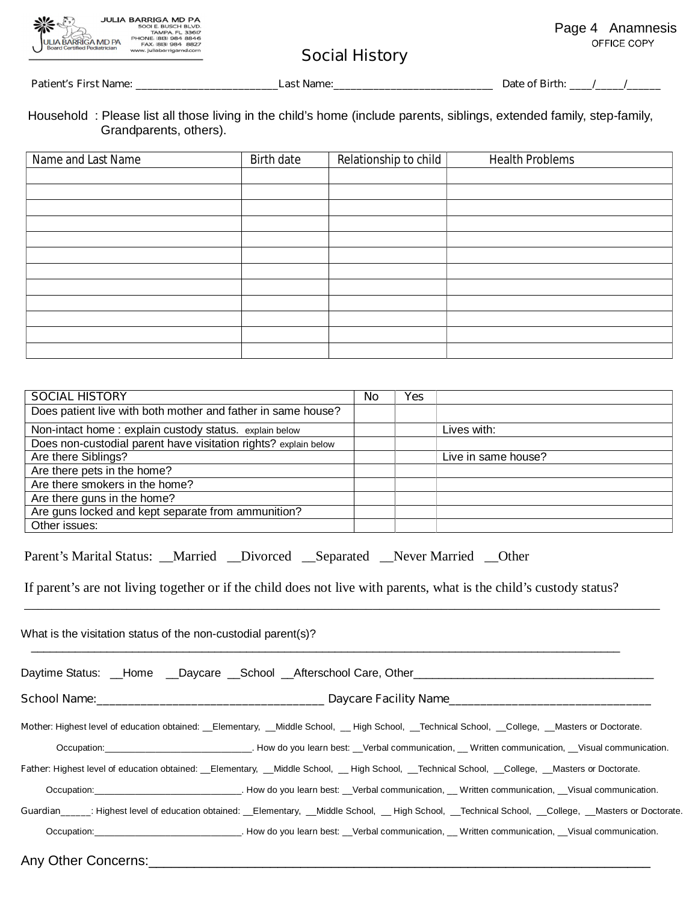|                    | <b>JULIA BARRIGA MD PA</b> |
|--------------------|----------------------------|
|                    | 500I E. BUSCH BLVD.        |
|                    | <b>TAMPA, FL 33617</b>     |
|                    | PHONE: (813) 984 8846      |
| ULIA BARRIGA MD PA | FAX, (813) 984 8827        |
|                    | www.juliabarrigamd.com     |
|                    |                            |

# **Social History**

**Patient's First Name: \_\_\_\_\_\_\_\_\_\_\_\_\_\_\_\_\_\_\_\_\_\_\_\_\_Last Name:\_\_\_\_\_\_\_\_\_\_\_\_\_\_\_\_\_\_\_\_\_\_\_\_\_\_\_\_ Date of Birth:** *\_\_\_\_/\_\_\_\_\_/\_\_\_\_\_\_*

| Household: Please list all those living in the child's home (include parents, siblings, extended family, step-family, |  |  |  |
|-----------------------------------------------------------------------------------------------------------------------|--|--|--|
| Grandparents, others).                                                                                                |  |  |  |

| Name and Last Name | Birth date | Relationship to child | <b>Health Problems</b> |
|--------------------|------------|-----------------------|------------------------|
|                    |            |                       |                        |
|                    |            |                       |                        |
|                    |            |                       |                        |
|                    |            |                       |                        |
|                    |            |                       |                        |
|                    |            |                       |                        |
|                    |            |                       |                        |
|                    |            |                       |                        |
|                    |            |                       |                        |
|                    |            |                       |                        |
|                    |            |                       |                        |
|                    |            |                       |                        |

| <b>SOCIAL HISTORY</b>                                                                                                                                                                                                                                                                        | <b>No</b> | <b>Yes</b> |                     |  |  |  |  |
|----------------------------------------------------------------------------------------------------------------------------------------------------------------------------------------------------------------------------------------------------------------------------------------------|-----------|------------|---------------------|--|--|--|--|
| Does patient live with both mother and father in same house?                                                                                                                                                                                                                                 |           |            |                     |  |  |  |  |
| Non-intact home: explain custody status. explain below                                                                                                                                                                                                                                       |           |            | Lives with:         |  |  |  |  |
| Does non-custodial parent have visitation rights? explain below                                                                                                                                                                                                                              |           |            |                     |  |  |  |  |
| Are there Siblings?                                                                                                                                                                                                                                                                          |           |            | Live in same house? |  |  |  |  |
| Are there pets in the home?                                                                                                                                                                                                                                                                  |           |            |                     |  |  |  |  |
| Are there smokers in the home?                                                                                                                                                                                                                                                               |           |            |                     |  |  |  |  |
| Are there guns in the home?                                                                                                                                                                                                                                                                  |           |            |                     |  |  |  |  |
| Are guns locked and kept separate from ammunition?                                                                                                                                                                                                                                           |           |            |                     |  |  |  |  |
| Other issues:                                                                                                                                                                                                                                                                                |           |            |                     |  |  |  |  |
| If parent's are not living together or if the child does not live with parents, what is the child's custody status?<br>What is the visitation status of the non-custodial parent(s)?<br>Daytime Status: __Home __Daycare __School __Afterschool Care, Other_________________________________ |           |            |                     |  |  |  |  |
|                                                                                                                                                                                                                                                                                              |           |            |                     |  |  |  |  |
| Mother: Highest level of education obtained: __Elementary, __Middle School, __High School, __Technical School, __College, __Masters or Doctorate.                                                                                                                                            |           |            |                     |  |  |  |  |
| Occupation: ___________________________________. How do you learn best: __Verbal communication, __ Written communication, __Visual communication.                                                                                                                                            |           |            |                     |  |  |  |  |
| Father: Highest level of education obtained: __Elementary, __Middle School, __High School, __Technical School, __College, __Masters or Doctorate.                                                                                                                                            |           |            |                     |  |  |  |  |
|                                                                                                                                                                                                                                                                                              |           |            |                     |  |  |  |  |
| Guardian______: Highest level of education obtained: __Elementary, __Middle School, __High School, __Technical School, __College, __Masters or Doctorate.                                                                                                                                    |           |            |                     |  |  |  |  |
| Occupation: __________________________________. How do you learn best: __Verbal communication, __ Written communication, __Visual communication.                                                                                                                                             |           |            |                     |  |  |  |  |

Any Other Concerns:\_\_\_\_\_\_\_\_\_\_\_\_\_\_\_\_\_\_\_\_\_\_\_\_\_\_\_\_\_\_\_\_\_\_\_\_\_\_\_\_\_\_\_\_\_\_\_\_\_\_\_\_\_\_\_\_\_\_\_\_\_\_\_\_\_\_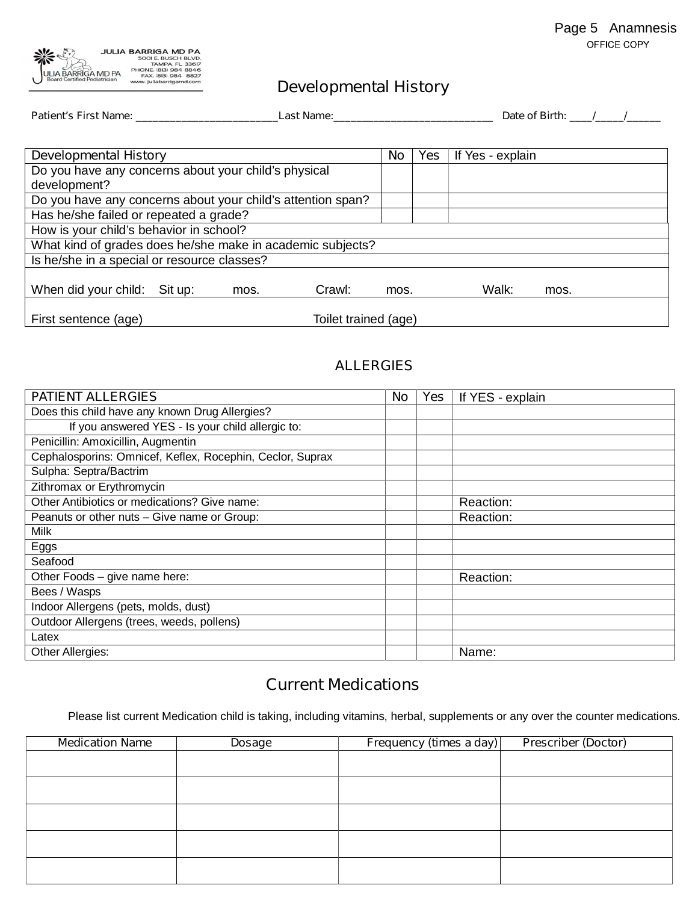

# **Developmental History**

| Patient's First Name: __________<br><b>Last Name:</b>       |                      |      |        |      |            |                  | Date of Birth: / / |  |
|-------------------------------------------------------------|----------------------|------|--------|------|------------|------------------|--------------------|--|
|                                                             |                      |      |        |      |            |                  |                    |  |
| <b>Developmental History</b>                                |                      |      |        |      | <b>Yes</b> | If Yes - explain |                    |  |
| Do you have any concerns about your child's physical        |                      |      |        |      |            |                  |                    |  |
| development?                                                |                      |      |        |      |            |                  |                    |  |
| Do you have any concerns about your child's attention span? |                      |      |        |      |            |                  |                    |  |
| Has he/she failed or repeated a grade?                      |                      |      |        |      |            |                  |                    |  |
| How is your child's behavior in school?                     |                      |      |        |      |            |                  |                    |  |
| What kind of grades does he/she make in academic subjects?  |                      |      |        |      |            |                  |                    |  |
| Is he/she in a special or resource classes?                 |                      |      |        |      |            |                  |                    |  |
|                                                             |                      |      |        |      |            |                  |                    |  |
| When did your child:                                        | Sit up:              | mos. | Crawl: | mos. |            | Walk:            | mos.               |  |
|                                                             |                      |      |        |      |            |                  |                    |  |
| First sentence (age)                                        | Toilet trained (age) |      |        |      |            |                  |                    |  |

# **ALLERGIES**

| <b>PATIENT ALLERGIES</b>                                  | No | <b>Yes</b> | If YES - explain |
|-----------------------------------------------------------|----|------------|------------------|
| Does this child have any known Drug Allergies?            |    |            |                  |
| If you answered YES - Is your child allergic to:          |    |            |                  |
| Penicillin: Amoxicillin, Augmentin                        |    |            |                  |
| Cephalosporins: Omnicef, Keflex, Rocephin, Ceclor, Suprax |    |            |                  |
| Sulpha: Septra/Bactrim                                    |    |            |                  |
| Zithromax or Erythromycin                                 |    |            |                  |
| Other Antibiotics or medications? Give name:              |    |            | Reaction:        |
| Peanuts or other nuts - Give name or Group:               |    |            | Reaction:        |
| Milk                                                      |    |            |                  |
| Eggs                                                      |    |            |                  |
| Seafood                                                   |    |            |                  |
| Other Foods - give name here:                             |    |            | Reaction:        |
| Bees / Wasps                                              |    |            |                  |
| Indoor Allergens (pets, molds, dust)                      |    |            |                  |
| Outdoor Allergens (trees, weeds, pollens)                 |    |            |                  |
| Latex                                                     |    |            |                  |
| Other Allergies:                                          |    |            | Name:            |

# **Current Medications**

Please list current Medication child is taking, including vitamins, herbal, supplements or any over the counter medications.

| <b>Medication Name</b> | <b>Dosage</b> | Frequency (times a day) | <b>Prescriber (Doctor)</b> |
|------------------------|---------------|-------------------------|----------------------------|
|                        |               |                         |                            |
|                        |               |                         |                            |
|                        |               |                         |                            |
|                        |               |                         |                            |
|                        |               |                         |                            |
|                        |               |                         |                            |
|                        |               |                         |                            |
|                        |               |                         |                            |
|                        |               |                         |                            |
|                        |               |                         |                            |